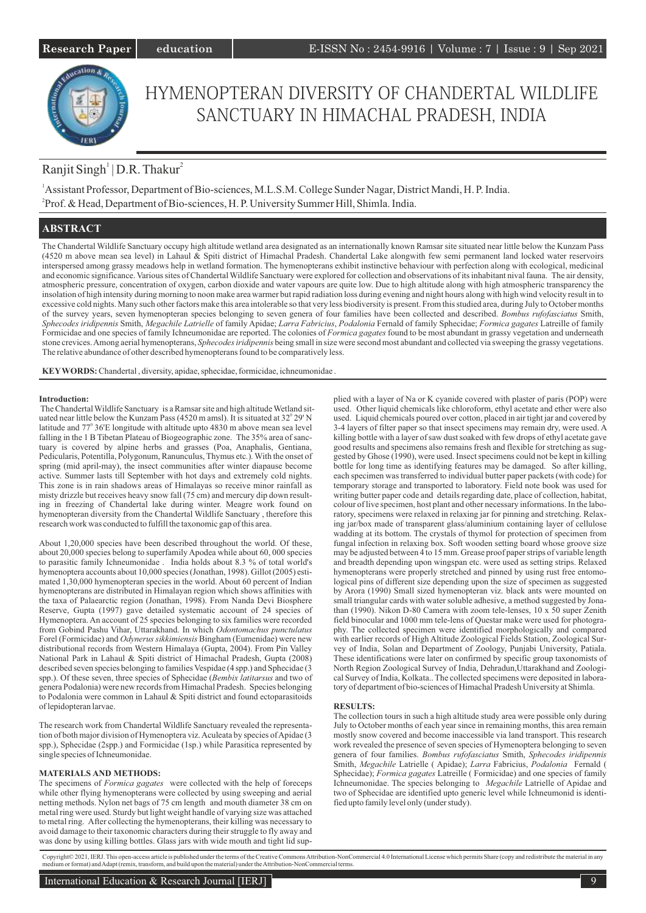

# HYMENOPTERAN DIVERSITY OF CHANDERTAL WILDLIFE SANCTUARY IN HIMACHAL PRADESH, INDIA

# Ranjit Singh<sup>1</sup> | D.R. Thakur<sup>2</sup>

<sup>1</sup>Assistant Professor, Department of Bio-sciences, M.L.S.M. College Sunder Nagar, District Mandi, H. P. India. 2 Prof. & Head, Department of Bio-sciences, H. P. University Summer Hill, Shimla. India.

# **ABSTRACT**

The Chandertal Wildlife Sanctuary occupy high altitude wetland area designated as an internationally known Ramsar site situated near little below the Kunzam Pass (4520 m above mean sea level) in Lahaul & Spiti district of Himachal Pradesh. Chandertal Lake alongwith few semi permanent land locked water reservoirs interspersed among grassy meadows help in wetland formation. The hymenopterans exhibit instinctive behaviour with perfection along with ecological, medicinal and economic significance. Various sites of Chandertal Wildlife Sanctuary were explored for collection and observations of its inhabitant nival fauna. The air density, atmospheric pressure, concentration of oxygen, carbon dioxide and water vapours are quite low. Due to high altitude along with high atmospheric transparency the insolation of high intensity during morning to noon make area warmer but rapid radiation loss during evening and night hours along with high wind velocity result in to excessive cold nights. Many such other factors make this area intolerable so that very less biodiversity is present. From this studied area, during July to October months of the survey years, seven hymenopteran species belonging to seven genera of four families have been collected and described. *Bombus rufofasciatus* Smith, *Sphecodes iridipennis* Smith, *Megachile Latrielle* of family Apidae; *Larra Fabricius*, *Podalonia* Fernald of family Sphecidae; *Formica gagates* Latreille of family Formicidae and one species of family Ichneumonidae are reported. The colonies of *Formica gagates* found to be most abundant in grassy vegetation and underneath stone crevices. Among aerial hymenopterans, *Sphecodes iridipennis* being small in size were second most abundant and collected via sweeping the grassy vegetations. The relative abundance of other described hymenopterans found to be comparatively less.

**KEYWORDS:** Chandertal , diversity, apidae, sphecidae, formicidae, ichneumonidae .

# **Introduction:**

The Chandertal Wildlife Sanctuary is a Ramsar site and high altitude Wetland situated near little below the Kunzam Pass (4520 m amsl). It is situated at  $32^{\circ}$  29' N latitude and 77° 36'E longitude with altitude upto 4830 m above mean sea level falling in the 1 B Tibetan Plateau of Biogeographic zone. The 35% area of sanctuary is covered by alpine herbs and grasses (Poa, Anaphalis, Gentiana, Pedicularis, Potentilla, Polygonum, Ranunculus, Thymus etc*.*)*.*With the onset of spring (mid april-may), the insect communities after winter diapause become active. Summer lasts till September with hot days and extremely cold nights. This zone is in rain shadows areas of Himalayas so receive minor rainfall as misty drizzle but receives heavy snow fall (75 cm) and mercury dip down resulting in freezing of Chandertal lake during winter. Meagre work found on hymenopteran diversity from the Chandertal Wildlife Sanctuary , therefore this research work was conducted to fulfill the taxonomic gap of this area.

About 1,20,000 species have been described throughout the world. Of these, about 20,000 species belong to superfamily Apodea while about 60, 000 species to parasitic family Ichneumonidae . India holds about 8.3 % of total world's hymenoptera accounts about 10,000 species (Jonathan, 1998). Gillot (2005) estimated 1,30,000 hymenopteran species in the world. About 60 percent of Indian hymenopterans are distributed in Himalayan region which shows affinities with the taxa of Palaearctic region (Jonathan, 1998). From Nanda Devi Biosphere Reserve, Gupta (1997) gave detailed systematic account of 24 species of Hymenoptera. An account of 25 species belonging to six families were recorded from Gobind Pashu Vihar, Uttarakhand. In which *Odontomachus punctulatus* Forel (Formicidae) and *Odynerus sikkimiensis* Bingham (Eumenidae) were new distributional records from Western Himalaya (Gupta, 2004). From Pin Valley National Park in Lahaul & Spiti district of Himachal Pradesh, Gupta (2008) described seven species belonging to families Vespidae (4 spp.) and Sphecidae (3 spp.). Of these seven, three species of Sphecidae (*Bembix latitarsus* and two of genera Podalonia) were new records from Himachal Pradesh. Species belonging to Podalonia were common in Lahaul & Spiti district and found ectoparasitoids of lepidopteran larvae.

The research work from Chandertal Wildlife Sanctuary revealed the representation of both major division of Hymenoptera viz. Aculeata by species of Apidae (3 spp.), Sphecidae (2spp.) and Formicidae (1sp.) while Parasitica represented by single species of Ichneumonidae.

# **MATERIALS AND METHODS:**

The specimens of *Formica gagates* were collected with the help of foreceps while other flying hymenopterans were collected by using sweeping and aerial netting methods. Nylon net bags of 75 cm length and mouth diameter 38 cm on metal ring were used. Sturdy but light weight handle of varying size was attached to metal ring. After collecting the hymenopterans, their killing was necessary to avoid damage to their taxonomic characters during their struggle to fly away and was done by using killing bottles. Glass jars with wide mouth and tight lid supplied with a layer of Na or K cyanide covered with plaster of paris (POP) were used. Other liquid chemicals like chloroform, ethyl acetate and ether were also used. Liquid chemicals poured over cotton, placed in air tight jar and covered by 3-4 layers of filter paper so that insect specimens may remain dry, were used. A killing bottle with a layer of saw dust soaked with few drops of ethyl acetate gave good results and specimens also remains fresh and flexible for stretching as suggested by Ghose (1990), were used. Insect specimens could not be kept in killing bottle for long time as identifying features may be damaged. So after killing, each specimen was transferred to individual butter paper packets (with code) for temporary storage and transported to laboratory. Field note book was used for writing butter paper code and details regarding date, place of collection, habitat, colour of live specimen, host plant and other necessary informations. In the laboratory, specimens were relaxed in relaxing jar for pinning and stretching. Relaxing jar/box made of transparent glass/aluminium containing layer of cellulose wadding at its bottom. The crystals of thymol for protection of specimen from fungal infection in relaxing box. Soft wooden setting board whose groove size may be adjusted between 4 to 15 mm. Grease proof paper strips of variable length and breadth depending upon wingspan etc. were used as setting strips. Relaxed hymenopterans were properly stretched and pinned by using rust free entomological pins of different size depending upon the size of specimen as suggested by Arora (1990) Small sized hymenopteran viz. black ants were mounted on small triangular cards with water soluble adhesive, a method suggested by Jonathan (1990). Nikon D-80 Camera with zoom tele-lenses, 10 x 50 super Zenith field binocular and 1000 mm tele-lens of Questar make were used for photography. The collected specimen were identified morphologically and compared with earlier records of High Altitude Zoological Fields Station, Zoological Survey of India, Solan and Department of Zoology, Punjabi University, Patiala. These identifications were later on confirmed by specific group taxonomists of North Region Zoological Survey of India, Dehradun,Uttarakhand and Zoological Survey of India, Kolkata.. The collected specimens were deposited in laboratory of department of bio-sciences of Himachal Pradesh University at Shimla.

### **RESULTS:**

The collection tours in such a high altitude study area were possible only during July to October months of each year since in remaining months, this area remain mostly snow covered and become inaccessible via land transport. This research work revealed the presence of seven species of Hymenoptera belonging to seven genera of four families. *Bombus rufofasciatus* Smith, *Sphecodes iridipennis* Smith, *Megachile* Latrielle ( Apidae); *Larra* Fabricius, *Podalonia* Fernald ( Sphecidae); *Formica gagates* Latreille ( Formicidae) and one species of family Ichneumonidae. The species belonging to *Megachile* Latrielle of Apidae and two of Sphecidae are identified upto generic level while Ichneumonid is identified upto family level only (under study).

Copyright© 2021, IERJ. This open-access article is published under the terms of the Creative Commons Attribution-NonCommercial 4.0 International License which permits Share (copy and redistribute the material in any mediu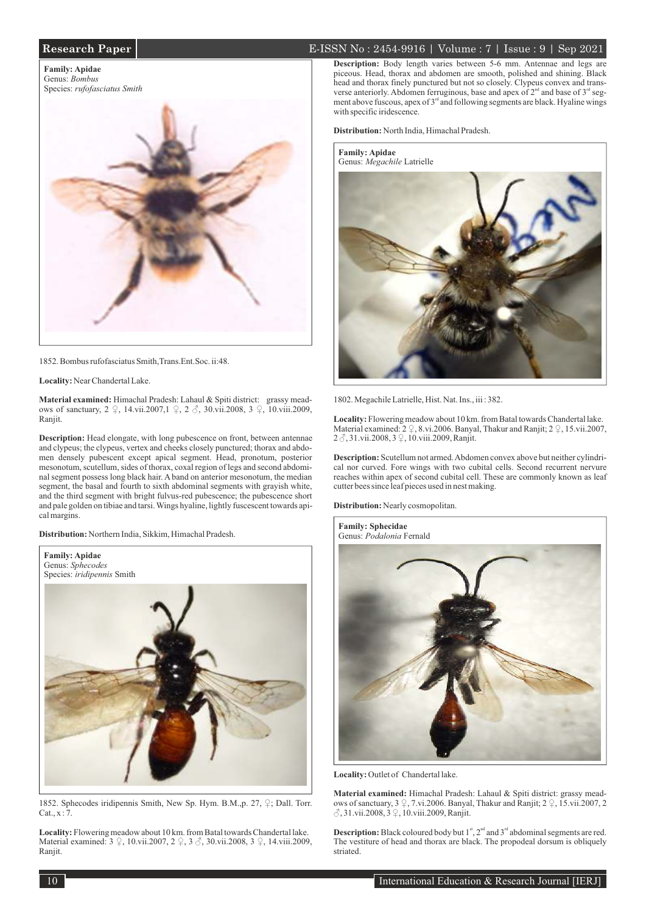# **Research Paper** 2021 **E-ISSN No** : 2454-9916 | Volume : 7 | Issue : 9 | Sep 2021

**Family: Apidae** Genus: *Bombus* Species: *rufofasciatus Smith*



1852. Bombus rufofasciatus Smith,Trans.Ent.Soc. ii:48.

**Locality:** Near Chandertal Lake.

**Material examined:** Himachal Pradesh: Lahaul & Spiti district: grassy meadows of sanctuary, 2 ♀, 14.vii.2007,1 ♀, 2 ♂, 30.vii.2008, 3 ♀, 10.viii.2009, Ranjit.

**Description:** Head elongate, with long pubescence on front, between antennae and clypeus; the clypeus, vertex and cheeks closely punctured; thorax and abdomen densely pubescent except apical segment. Head, pronotum, posterior mesonotum, scutellum, sides of thorax, coxal region of legs and second abdominal segment possess long black hair. A band on anterior mesonotum, the median segment, the basal and fourth to sixth abdominal segments with grayish white, and the third segment with bright fulvus-red pubescence; the pubescence short and pale golden on tibiae and tarsi. Wings hyaline, lightly fuscescent towards apical margins.

**Distribution:** Northern India, Sikkim, Himachal Pradesh.



1852. Sphecodes iridipennis Smith, New Sp. Hym. B.M.,p. 27, ♀; Dall. Torr.  $Cat., x : 7.$ 

**Locality:** Flowering meadow about 10 km. from Batal towards Chandertal lake. Material examined: 3 ♀, 10.vii.2007, 2 ♀, 3 ♂, 30.vii.2008, 3 ♀, 14.viii.2009, Ranjit.

**Description:** Body length varies between 5-6 mm. Antennae and legs are piceous. Head, thorax and abdomen are smooth, polished and shining. Black head and thorax finely punctured but not so closely. Clypeus convex and transverse anteriorly. Abdomen ferruginous, base and apex of 2<sup>nd</sup> and base of 3<sup>rd</sup> segment above fuscous, apex of  $3<sup>rd</sup>$  and following segments are black. Hyaline wings with specific iridescence.

**Distribution:** North India, Himachal Pradesh.



1802. Megachile Latrielle, Hist. Nat. Ins., iii : 382.

**Locality:** Flowering meadow about 10 km. from Batal towards Chandertal lake. Material examined: 2 ♀, 8.vi.2006. Banyal, Thakur and Ranjit; 2 ♀, 15.vii.2007, 2 3, 31.vii.2008, 3 ♀, 10.viii.2009, Ranjit.

**Description:** Scutellum not armed. Abdomen convex above but neither cylindrical nor curved. Fore wings with two cubital cells. Second recurrent nervure reaches within apex of second cubital cell. These are commonly known as leaf cutter bees since leaf pieces used in nest making.

**Distribution:** Nearly cosmopolitan.



Locality: Outlet of Chandertal lake.

**Material examined:** Himachal Pradesh: Lahaul & Spiti district: grassy meadows of sanctuary,  $3 \nsubseteq 7$ .vi.2006. Banyal, Thakur and Ranjit;  $2 \nsubseteq 15$ .vii.2007, 2 ♂, 31.vii.2008, 3 ♀, 10.viii.2009, Ranjit.

**Description:** Black coloured body but  $1<sup>st</sup>$ ,  $2<sup>nd</sup>$  and  $3<sup>rd</sup>$  abdominal segments are red. The vestiture of head and thorax are black. The propodeal dorsum is obliquely striated.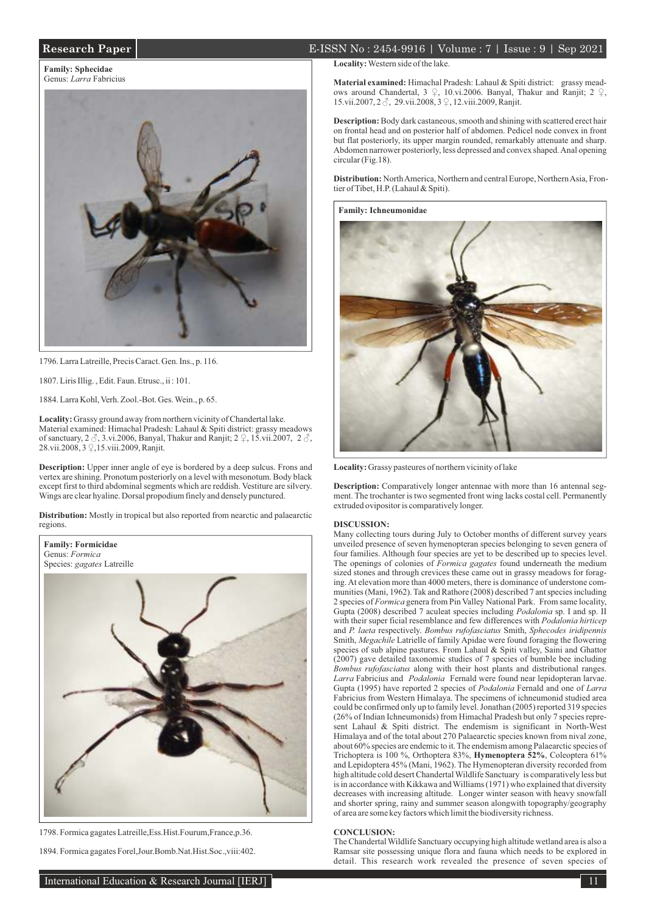# **Research Paper** E-ISSN No : 2454-9916 | Volume : 7 | Issue : 9 | Sep 2021

**Family: Sphecidae** Genus: *Larra* Fabricius



1796. Larra Latreille, Precis Caract. Gen. Ins., p. 116.

1807. Liris Illig. , Edit. Faun. Etrusc., ii : 101.

1884. Larra Kohl, Verh. Zool.-Bot. Ges. Wein., p. 65.

**Locality:** Grassy ground away from northern vicinity of Chandertal lake. Material examined: Himachal Pradesh: Lahaul & Spiti district: grassy meadows of sanctuary, 2  $\Im$ , 3.vi.2006, Banyal, Thakur and Ranjit; 2  $\Im$ , 15.vii.2007, 2  $\Im$ , 28.vii.2008, 3 ♀,15.viii.2009, Ranjit.

**Description:** Upper inner angle of eye is bordered by a deep sulcus. Frons and vertex are shining. Pronotum posteriorly on a level with mesonotum. Body black except first to third abdominal segments which are reddish. Vestiture are silvery. Wings are clear hyaline. Dorsal propodium finely and densely punctured.

**Distribution:** Mostly in tropical but also reported from nearctic and palaearctic regions.



1798. Formica gagates Latreille,Ess.Hist.Fourum,France,p.36.

1894. Formica gagates Forel,Jour.Bomb.Nat.Hist.Soc.,viii:402.

# **Locality:** Western side of the lake.

**Material examined:** Himachal Pradesh: Lahaul & Spiti district: grassy meadows around Chandertal, 3 ♀, 10.vi.2006. Banyal, Thakur and Ranjit; 2 ♀, 15.vii.2007, 2 ♂, 29.vii.2008, 3 ♀, 12.viii.2009, Ranjit.

**Description:** Body dark castaneous, smooth and shining with scattered erect hair on frontal head and on posterior half of abdomen. Pedicel node convex in front but flat posteriorly, its upper margin rounded, remarkably attenuate and sharp. Abdomen narrower posteriorly, less depressed and convex shaped. Anal opening circular (Fig.18).

**Distribution:** North America, Northern and central Europe, Northern Asia, Frontier of Tibet, H.P. (Lahaul & Spiti).

**Family: Ichneumonidae**



**Locality:** Grassy pasteures of northern vicinity of lake

**Description:** Comparatively longer antennae with more than 16 antennal segment. The trochanter is two segmented front wing lacks costal cell. Permanently extruded ovipositor is comparatively longer.

### **DISCUSSION:**

Many collecting tours during July to October months of different survey years unveiled presence of seven hymenopteran species belonging to seven genera of four families. Although four species are yet to be described up to species level. The openings of colonies of *Formica gagates* found underneath the medium sized stones and through crevices these came out in grassy meadows for foraging. At elevation more than 4000 meters, there is dominance of understone communities (Mani, 1962). Tak and Rathore (2008) described 7 ant species including 2 species of *Formica* genera from Pin Valley National Park. From same locality, Gupta (2008) described 7 aculeat species including *Podalonia* sp. I and sp. II with their super ficial resemblance and few differences with *Podalonia hirticep* and *P. laeta* respectively. *Bombus rufofasciatus* Smith, *Sphecodes iridipennis* Smith, *Megachile* Latrielle of family Apidae were found foraging the flowering species of sub alpine pastures. From Lahaul & Spiti valley, Saini and Ghattor (2007) gave detailed taxonomic studies of 7 species of bumble bee including *Bombus rufofasciatus* along with their host plants and distributional ranges. *Larra* Fabricius and *Podalonia* Fernald were found near lepidopteran larvae. Gupta (1995) have reported 2 species of *Podalonia* Fernald and one of *Larra* Fabricius from Western Himalaya. The specimens of ichneumonid studied area could be confirmed only up to family level. Jonathan (2005) reported 319 species (26% of Indian Ichneumonids) from Himachal Pradesh but only 7 species represent Lahaul & Spiti district. The endemism is significant in North-West Himalaya and of the total about 270 Palaearctic species known from nival zone, about 60% species are endemic to it. The endemism among Palaearctic species of Trichoptera is 100 %, Orthoptera 83%, **Hymenoptera 52%**, Coleoptera 61% and Lepidoptera 45% (Mani, 1962). The Hymenopteran diversity recorded from high altitude cold desert Chandertal Wildlife Sanctuary is comparatively less but is in accordance with Kikkawa and Williams (1971) who explained that diversity decreases with increasing altitude. Longer winter season with heavy snowfall and shorter spring, rainy and summer season alongwith topography/geography of area are some key factors which limit the biodiversity richness.

### **CONCLUSION:**

The Chandertal Wildlife Sanctuary occupying high altitude wetland area is also a Ramsar site possessing unique flora and fauna which needs to be explored in detail. This research work revealed the presence of seven species of